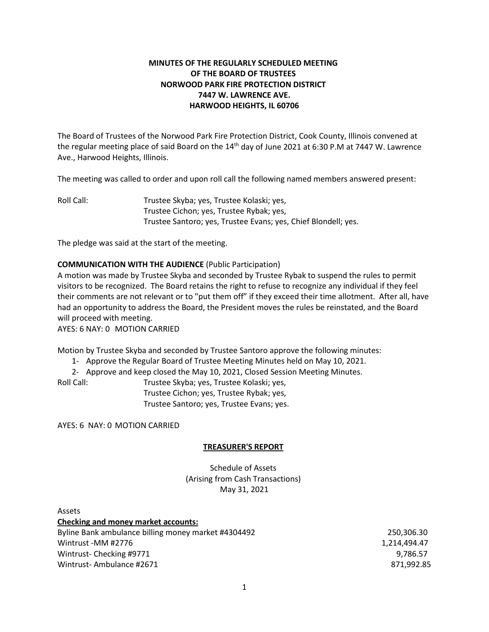# **MINUTES OF THE REGULARLY SCHEDULED MEETING OF THE BOARD OF TRUSTEES NORWOOD PARK FIRE PROTECTION DISTRICT 7447 W. LAWRENCE AVE. HARWOOD HEIGHTS, IL 60706**

The Board of Trustees of the Norwood Park Fire Protection District, Cook County, Illinois convened at the regular meeting place of said Board on the 14<sup>th</sup> day of June 2021 at 6:30 P.M at 7447 W. Lawrence Ave., Harwood Heights, Illinois.

The meeting was called to order and upon roll call the following named members answered present:

Roll Call: Trustee Skyba; yes, Trustee Kolaski; yes, Trustee Cichon; yes, Trustee Rybak; yes, Trustee Santoro; yes, Trustee Evans; yes, Chief Blondell; yes.

The pledge was said at the start of the meeting.

# **COMMUNICATION WITH THE AUDIENCE** (Public Participation)

A motion was made by Trustee Skyba and seconded by Trustee Rybak to suspend the rules to permit visitors to be recognized. The Board retains the right to refuse to recognize any individual if they feel their comments are not relevant or to "put them off" if they exceed their time allotment. After all, have had an opportunity to address the Board, the President moves the rules be reinstated, and the Board will proceed with meeting.

AYES: 6 NAY: 0 MOTION CARRIED

Motion by Trustee Skyba and seconded by Trustee Santoro approve the following minutes:

1- Approve the Regular Board of Trustee Meeting Minutes held on May 10, 2021.

2- Approve and keep closed the May 10, 2021, Closed Session Meeting Minutes.

Roll Call: Trustee Skyba; yes, Trustee Kolaski; yes, Trustee Cichon; yes, Trustee Rybak; yes, Trustee Santoro; yes, Trustee Evans; yes.

AYES: 6 NAY: 0 MOTION CARRIED

#### **TREASURER'S REPORT**

Schedule of Assets (Arising from Cash Transactions) May 31, 2021

| <b>Assets</b>                                       |              |
|-----------------------------------------------------|--------------|
| <b>Checking and money market accounts:</b>          |              |
| Byline Bank ambulance billing money market #4304492 | 250,306.30   |
| Wintrust -MM #2776                                  | 1.214.494.47 |
| Wintrust-Checking #9771                             | 9.786.57     |
| Wintrust-Ambulance #2671                            | 871,992.85   |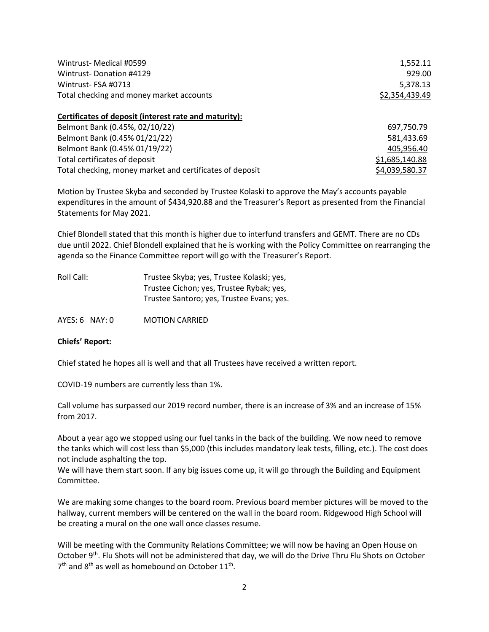| Wintrust-Medical #0599                                   | 1,552.11       |  |
|----------------------------------------------------------|----------------|--|
| Wintrust-Donation #4129                                  | 929.00         |  |
| Wintrust-FSA #0713                                       | 5,378.13       |  |
| Total checking and money market accounts                 | \$2,354,439.49 |  |
| Certificates of deposit (interest rate and maturity):    |                |  |
| Belmont Bank (0.45%, 02/10/22)                           | 697,750.79     |  |
| Belmont Bank (0.45% 01/21/22)                            | 581,433.69     |  |
| Belmont Bank (0.45% 01/19/22)                            | 405,956.40     |  |
| Total certificates of deposit                            | \$1,685,140.88 |  |
| Total checking, money market and certificates of deposit | \$4,039,580.37 |  |

Motion by Trustee Skyba and seconded by Trustee Kolaski to approve the May's accounts payable expenditures in the amount of \$434,920.88 and the Treasurer's Report as presented from the Financial Statements for May 2021.

Chief Blondell stated that this month is higher due to interfund transfers and GEMT. There are no CDs due until 2022. Chief Blondell explained that he is working with the Policy Committee on rearranging the agenda so the Finance Committee report will go with the Treasurer's Report.

| Roll Call: | Trustee Skyba; yes, Trustee Kolaski; yes, |
|------------|-------------------------------------------|
|            | Trustee Cichon; yes, Trustee Rybak; yes,  |
|            | Trustee Santoro; yes, Trustee Evans; yes. |
|            |                                           |

AYES: 6 NAY: 0 MOTION CARRIED

#### **Chiefs' Report:**

Chief stated he hopes all is well and that all Trustees have received a written report.

COVID-19 numbers are currently less than 1%.

Call volume has surpassed our 2019 record number, there is an increase of 3% and an increase of 15% from 2017.

About a year ago we stopped using our fuel tanks in the back of the building. We now need to remove the tanks which will cost less than \$5,000 (this includes mandatory leak tests, filling, etc.). The cost does not include asphalting the top.

We will have them start soon. If any big issues come up, it will go through the Building and Equipment Committee.

We are making some changes to the board room. Previous board member pictures will be moved to the hallway, current members will be centered on the wall in the board room. Ridgewood High School will be creating a mural on the one wall once classes resume.

Will be meeting with the Community Relations Committee; we will now be having an Open House on October 9<sup>th</sup>. Flu Shots will not be administered that day, we will do the Drive Thru Flu Shots on October  $7<sup>th</sup>$  and  $8<sup>th</sup>$  as well as homebound on October 11<sup>th</sup>.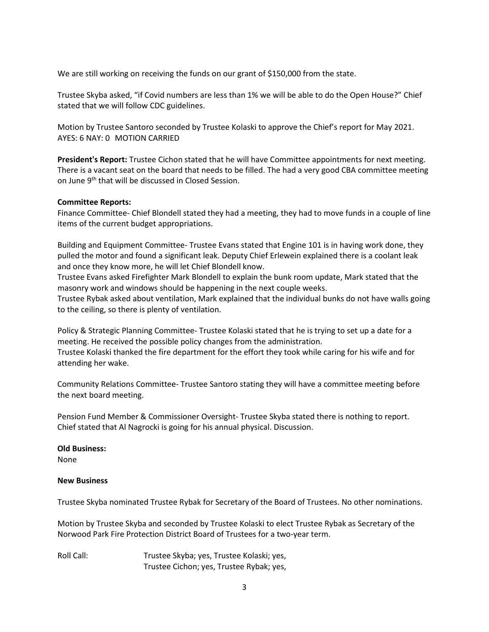We are still working on receiving the funds on our grant of \$150,000 from the state.

Trustee Skyba asked, "if Covid numbers are less than 1% we will be able to do the Open House?" Chief stated that we will follow CDC guidelines.

Motion by Trustee Santoro seconded by Trustee Kolaski to approve the Chief's report for May 2021. AYES: 6 NAY: 0 MOTION CARRIED

**President's Report:** Trustee Cichon stated that he will have Committee appointments for next meeting. There is a vacant seat on the board that needs to be filled. The had a very good CBA committee meeting on June 9<sup>th</sup> that will be discussed in Closed Session.

#### **Committee Reports:**

Finance Committee- Chief Blondell stated they had a meeting, they had to move funds in a couple of line items of the current budget appropriations.

Building and Equipment Committee- Trustee Evans stated that Engine 101 is in having work done, they pulled the motor and found a significant leak. Deputy Chief Erlewein explained there is a coolant leak and once they know more, he will let Chief Blondell know.

Trustee Evans asked Firefighter Mark Blondell to explain the bunk room update, Mark stated that the masonry work and windows should be happening in the next couple weeks.

Trustee Rybak asked about ventilation, Mark explained that the individual bunks do not have walls going to the ceiling, so there is plenty of ventilation.

Policy & Strategic Planning Committee- Trustee Kolaski stated that he is trying to set up a date for a meeting. He received the possible policy changes from the administration. Trustee Kolaski thanked the fire department for the effort they took while caring for his wife and for

Community Relations Committee- Trustee Santoro stating they will have a committee meeting before the next board meeting.

Pension Fund Member & Commissioner Oversight- Trustee Skyba stated there is nothing to report. Chief stated that Al Nagrocki is going for his annual physical. Discussion.

# **Old Business:**

attending her wake.

None

# **New Business**

Trustee Skyba nominated Trustee Rybak for Secretary of the Board of Trustees. No other nominations.

Motion by Trustee Skyba and seconded by Trustee Kolaski to elect Trustee Rybak as Secretary of the Norwood Park Fire Protection District Board of Trustees for a two-year term.

Roll Call: Trustee Skyba; yes, Trustee Kolaski; yes, Trustee Cichon; yes, Trustee Rybak; yes,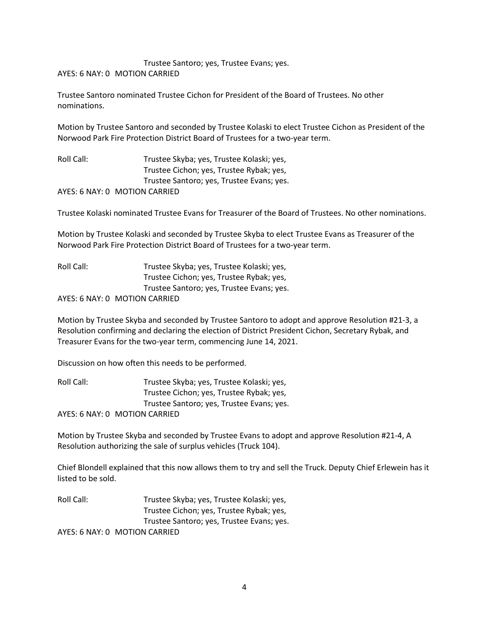Trustee Santoro; yes, Trustee Evans; yes. AYES: 6 NAY: 0 MOTION CARRIED

Trustee Santoro nominated Trustee Cichon for President of the Board of Trustees. No other nominations.

Motion by Trustee Santoro and seconded by Trustee Kolaski to elect Trustee Cichon as President of the Norwood Park Fire Protection District Board of Trustees for a two-year term.

Roll Call: Trustee Skyba; yes, Trustee Kolaski; yes, Trustee Cichon; yes, Trustee Rybak; yes, Trustee Santoro; yes, Trustee Evans; yes. AYES: 6 NAY: 0 MOTION CARRIED

Trustee Kolaski nominated Trustee Evans for Treasurer of the Board of Trustees. No other nominations.

Motion by Trustee Kolaski and seconded by Trustee Skyba to elect Trustee Evans as Treasurer of the Norwood Park Fire Protection District Board of Trustees for a two-year term.

| Roll Call: | Trustee Skyba; yes, Trustee Kolaski; yes, |
|------------|-------------------------------------------|
|            | Trustee Cichon; yes, Trustee Rybak; yes,  |
|            | Trustee Santoro; yes, Trustee Evans; yes. |
|            | AYES: 6 NAY: 0 MOTION CARRIED             |

Motion by Trustee Skyba and seconded by Trustee Santoro to adopt and approve Resolution #21-3, a Resolution confirming and declaring the election of District President Cichon, Secretary Rybak, and Treasurer Evans for the two-year term, commencing June 14, 2021.

Discussion on how often this needs to be performed.

Roll Call: Trustee Skyba; yes, Trustee Kolaski; yes, Trustee Cichon; yes, Trustee Rybak; yes, Trustee Santoro; yes, Trustee Evans; yes. AYES: 6 NAY: 0 MOTION CARRIED

Motion by Trustee Skyba and seconded by Trustee Evans to adopt and approve Resolution #21-4, A Resolution authorizing the sale of surplus vehicles (Truck 104).

Chief Blondell explained that this now allows them to try and sell the Truck. Deputy Chief Erlewein has it listed to be sold.

Roll Call: Trustee Skyba; yes, Trustee Kolaski; yes, Trustee Cichon; yes, Trustee Rybak; yes, Trustee Santoro; yes, Trustee Evans; yes. AYES: 6 NAY: 0 MOTION CARRIED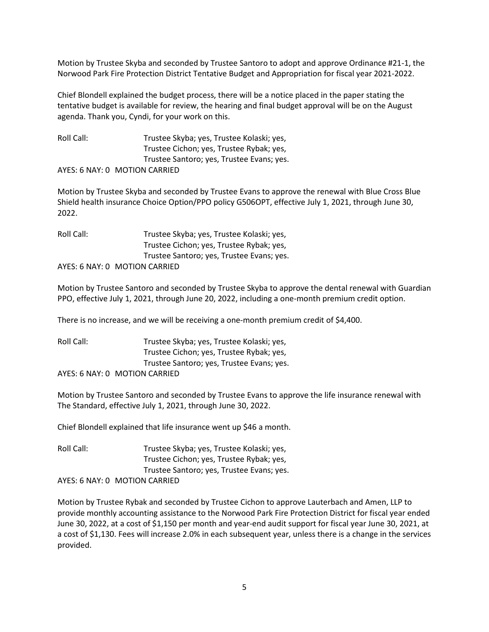Motion by Trustee Skyba and seconded by Trustee Santoro to adopt and approve Ordinance #21-1, the Norwood Park Fire Protection District Tentative Budget and Appropriation for fiscal year 2021-2022.

Chief Blondell explained the budget process, there will be a notice placed in the paper stating the tentative budget is available for review, the hearing and final budget approval will be on the August agenda. Thank you, Cyndi, for your work on this.

Roll Call: Trustee Skyba; yes, Trustee Kolaski; yes, Trustee Cichon; yes, Trustee Rybak; yes, Trustee Santoro; yes, Trustee Evans; yes. AYES: 6 NAY: 0 MOTION CARRIED

Motion by Trustee Skyba and seconded by Trustee Evans to approve the renewal with Blue Cross Blue Shield health insurance Choice Option/PPO policy G506OPT, effective July 1, 2021, through June 30, 2022.

| Roll Call: | Trustee Skyba; yes, Trustee Kolaski; yes, |
|------------|-------------------------------------------|
|            | Trustee Cichon; yes, Trustee Rybak; yes,  |
|            | Trustee Santoro; yes, Trustee Evans; yes. |
|            | AYES: 6 NAY: 0 MOTION CARRIED             |

Motion by Trustee Santoro and seconded by Trustee Skyba to approve the dental renewal with Guardian PPO, effective July 1, 2021, through June 20, 2022, including a one-month premium credit option.

There is no increase, and we will be receiving a one-month premium credit of \$4,400.

Roll Call: Trustee Skyba; yes, Trustee Kolaski; yes, Trustee Cichon; yes, Trustee Rybak; yes, Trustee Santoro; yes, Trustee Evans; yes. AYES: 6 NAY: 0 MOTION CARRIED

Motion by Trustee Santoro and seconded by Trustee Evans to approve the life insurance renewal with The Standard, effective July 1, 2021, through June 30, 2022.

Chief Blondell explained that life insurance went up \$46 a month.

Roll Call: Trustee Skyba; yes, Trustee Kolaski; yes, Trustee Cichon; yes, Trustee Rybak; yes, Trustee Santoro; yes, Trustee Evans; yes. AYES: 6 NAY: 0 MOTION CARRIED

Motion by Trustee Rybak and seconded by Trustee Cichon to approve Lauterbach and Amen, LLP to provide monthly accounting assistance to the Norwood Park Fire Protection District for fiscal year ended June 30, 2022, at a cost of \$1,150 per month and year-end audit support for fiscal year June 30, 2021, at a cost of \$1,130. Fees will increase 2.0% in each subsequent year, unless there is a change in the services provided.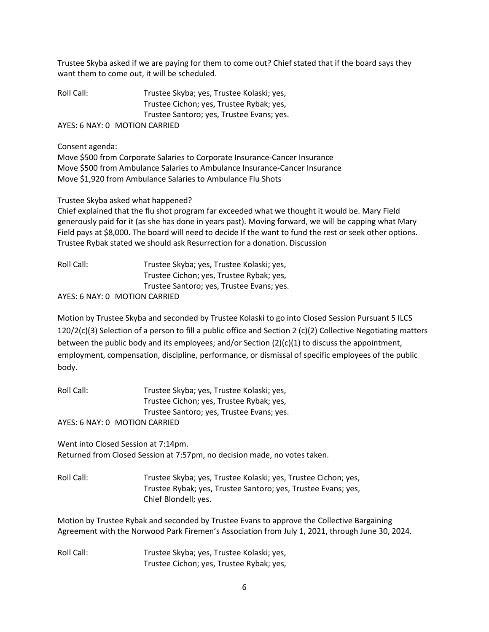Trustee Skyba asked if we are paying for them to come out? Chief stated that if the board says they want them to come out, it will be scheduled.

Roll Call: Trustee Skyba; yes, Trustee Kolaski; yes, Trustee Cichon; yes, Trustee Rybak; yes, Trustee Santoro; yes, Trustee Evans; yes. AYES: 6 NAY: 0 MOTION CARRIED

Consent agenda:

Move \$500 from Corporate Salaries to Corporate Insurance-Cancer Insurance Move \$500 from Ambulance Salaries to Ambulance Insurance-Cancer Insurance Move \$1,920 from Ambulance Salaries to Ambulance Flu Shots

# Trustee Skyba asked what happened?

Chief explained that the flu shot program far exceeded what we thought it would be. Mary Field generously paid for it (as she has done in years past). Moving forward, we will be capping what Mary Field pays at \$8,000. The board will need to decide If the want to fund the rest or seek other options. Trustee Rybak stated we should ask Resurrection for a donation. Discussion

Roll Call: Trustee Skyba; yes, Trustee Kolaski; yes, Trustee Cichon; yes, Trustee Rybak; yes, Trustee Santoro; yes, Trustee Evans; yes. AYES: 6 NAY: 0 MOTION CARRIED

Motion by Trustee Skyba and seconded by Trustee Kolaski to go into Closed Session Pursuant 5 ILCS 120/2(c)(3) Selection of a person to fill a public office and Section 2 (c)(2) Collective Negotiating matters between the public body and its employees; and/or Section (2)(c)(1) to discuss the appointment, employment, compensation, discipline, performance, or dismissal of specific employees of the public body.

Roll Call: Trustee Skyba; yes, Trustee Kolaski; yes, Trustee Cichon; yes, Trustee Rybak; yes, Trustee Santoro; yes, Trustee Evans; yes.

AYES: 6 NAY: 0 MOTION CARRIED

Went into Closed Session at 7:14pm. Returned from Closed Session at 7:57pm, no decision made, no votes taken.

Roll Call: Trustee Skyba; yes, Trustee Kolaski; yes, Trustee Cichon; yes, Trustee Rybak; yes, Trustee Santoro; yes, Trustee Evans; yes, Chief Blondell; yes.

Motion by Trustee Rybak and seconded by Trustee Evans to approve the Collective Bargaining Agreement with the Norwood Park Firemen's Association from July 1, 2021, through June 30, 2024.

Roll Call: Trustee Skyba; yes, Trustee Kolaski; yes, Trustee Cichon; yes, Trustee Rybak; yes,